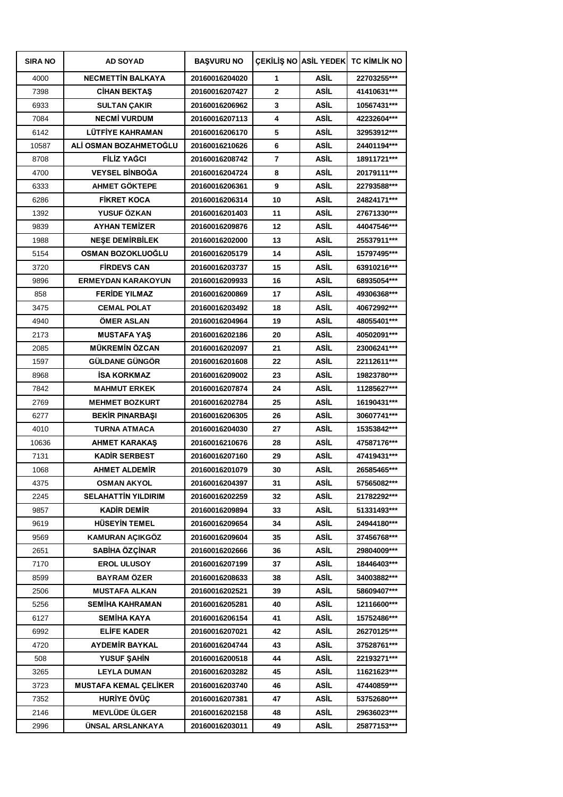| <b>SIRA NO</b> | <b>AD SOYAD</b>              | <b>BAŞVURU NO</b> |                |             | <b>CEKILIS NO ASIL YEDEK TC KIMLIK NO</b> |
|----------------|------------------------------|-------------------|----------------|-------------|-------------------------------------------|
| 4000           | <b>NECMETTIN BALKAYA</b>     | 20160016204020    | 1              | <b>ASİL</b> | 22703255***                               |
| 7398           | <b>CIHAN BEKTAS</b>          | 20160016207427    | $\mathbf{2}$   | ASİL        | 41410631***                               |
| 6933           | <b>SULTAN ÇAKIR</b>          | 20160016206962    | 3              | <b>ASİL</b> | 10567431***                               |
| 7084           | <b>NECMI VURDUM</b>          | 20160016207113    | 4              | <b>ASİL</b> | 42232604***                               |
| 6142           | <b>LÜTFİYE KAHRAMAN</b>      | 20160016206170    | 5              | ASİL        | 32953912***                               |
| 10587          | ALİ OSMAN BOZAHMETOĞLU       | 20160016210626    | 6              | <b>ASİL</b> | 24401194***                               |
| 8708           | FİLİZ YAĞCI                  | 20160016208742    | $\overline{7}$ | <b>ASİL</b> | 18911721 ***                              |
| 4700           | <b>VEYSEL BİNBOĞA</b>        | 20160016204724    | 8              | ASİL        | 20179111***                               |
| 6333           | AHMET GÖKTEPE                | 20160016206361    | 9              | <b>ASİL</b> | 22793588***                               |
| 6286           | <b>FİKRET KOCA</b>           | 20160016206314    | 10             | <b>ASİL</b> | 24824171***                               |
| 1392           | YUSUF ÖZKAN                  | 20160016201403    | 11             | ASİL        | 27671330***                               |
| 9839           | <b>AYHAN TEMİZER</b>         | 20160016209876    | 12             | <b>ASİL</b> | 44047546***                               |
| 1988           | <b>NESE DEMIRBILEK</b>       | 20160016202000    | 13             | ASİL        | 25537911***                               |
| 5154           | OSMAN BOZOKLUOĞLU            | 20160016205179    | 14             | <b>ASİL</b> | 15797495***                               |
| 3720           | <b>FIRDEVS CAN</b>           | 20160016203737    | 15             | ASİL        | 63910216***                               |
| 9896           | <b>ERMEYDAN KARAKOYUN</b>    | 20160016209933    | 16             | ASİL        | 68935054***                               |
| 858            | <b>FERIDE YILMAZ</b>         | 20160016200869    | 17             | <b>ASİL</b> | 49306368***                               |
| 3475           | <b>CEMAL POLAT</b>           | 20160016203492    | 18             | <b>ASİL</b> | 40672992***                               |
| 4940           | <b>OMER ASLAN</b>            | 20160016204964    | 19             | ASİL        | 48055401***                               |
| 2173           | <b>MUSTAFA YAS</b>           | 20160016202186    | 20             | ASİL        | 40502091***                               |
| 2085           | <b>MÜKREMİN ÖZCAN</b>        | 20160016202097    | 21             | ASİL        | 23006241***                               |
| 1597           | <b>GÜLDANE GÜNGÖR</b>        | 20160016201608    | 22             | <b>ASİL</b> | 22112611***                               |
| 8968           | <b>ISA KORKMAZ</b>           | 20160016209002    | 23             | <b>ASİL</b> | 19823780***                               |
| 7842           | <b>MAHMUT ERKEK</b>          | 20160016207874    | 24             | ASİL        | 11285627***                               |
| 2769           | <b>MEHMET BOZKURT</b>        | 20160016202784    | 25             | <b>ASİL</b> | 16190431***                               |
| 6277           | <b>BEKIR PINARBASI</b>       | 20160016206305    | 26             | <b>ASİL</b> | 30607741***                               |
| 4010           | <b>TURNA ATMACA</b>          | 20160016204030    | 27             | ASİL        | 15353842***                               |
| 10636          | <b>AHMET KARAKAS</b>         | 20160016210676    | 28             | <b>ASİL</b> | 47587176***                               |
| 7131           | <b>KADIR SERBEST</b>         | 20160016207160    | 29             | ASİL        | 47419431***                               |
| 1068           | <b>AHMET ALDEMİR</b>         | 20160016201079    | 30             | <b>ASİL</b> | 26585465***                               |
| 4375           | <b>OSMAN AKYOL</b>           | 20160016204397    | 31             | ASİL        | 57565082***                               |
| 2245           | <b>SELAHATTIN YILDIRIM</b>   | 20160016202259    | 32             | <b>ASİL</b> | 21782292***                               |
| 9857           | <b>KADİR DEMİR</b>           | 20160016209894    | 33             | <b>ASİL</b> | 51331493***                               |
| 9619           | <b>HÜSEYİN TEMEL</b>         | 20160016209654    | 34             | <b>ASİL</b> | 24944180***                               |
| 9569           | KAMURAN AÇIKGÖZ              | 20160016209604    | 35             | ASİL        | 37456768***                               |
| 2651           | SABİHA ÖZÇİNAR               | 20160016202666    | 36             | <b>ASİL</b> | 29804009***                               |
| 7170           | <b>EROL ULUSOY</b>           | 20160016207199    | 37             | ASİL        | 18446403***                               |
| 8599           | <b>BAYRAM ÖZER</b>           | 20160016208633    | 38             | <b>ASİL</b> | 34003882***                               |
| 2506           | <b>MUSTAFA ALKAN</b>         | 20160016202521    | 39             | ASİL        | 58609407***                               |
| 5256           | <b>SEMİHA KAHRAMAN</b>       | 20160016205281    | 40             | ASİL        | 12116600***                               |
| 6127           | <b>SEMİHA KAYA</b>           | 20160016206154    | 41             | <b>ASİL</b> | 15752486***                               |
| 6992           | <b>ELİFE KADER</b>           | 20160016207021    | 42             | ASİL        | 26270125***                               |
| 4720           | <b>AYDEMİR BAYKAL</b>        | 20160016204744    | 43             | ASİL        | 37528761***                               |
| 508            | <b>YUSUF SAHIN</b>           | 20160016200518    | 44             | ASİL        | 22193271***                               |
| 3265           | <b>LEYLA DUMAN</b>           | 20160016203282    | 45             | ASİL        | 11621623***                               |
| 3723           | <b>MUSTAFA KEMAL ÇELİKER</b> | 20160016203740    | 46             | <b>ASİL</b> | 47440859***                               |
| 7352           | HURİYE ÖVÜÇ                  | 20160016207381    | 47             | ASİL        | 53752680***                               |
| 2146           | <b>MEVLÜDE ÜLGER</b>         | 20160016202158    | 48             | ASİL        | 29636023***                               |
| 2996           | ÜNSAL ARSLANKAYA             | 20160016203011    | 49             | ASİL        | 25877153***                               |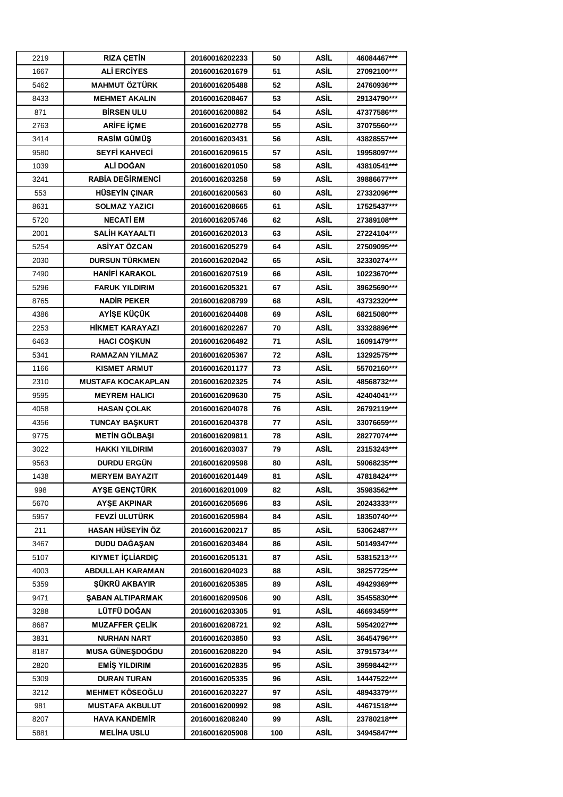| 2219 | <b>RIZA ÇETİN</b>         | 20160016202233 | 50  | ASİL        | 46084467*** |
|------|---------------------------|----------------|-----|-------------|-------------|
| 1667 | <b>ALİ ERCİYES</b>        | 20160016201679 | 51  | ASİL        | 27092100*** |
| 5462 | <b>MAHMUT ÖZTÜRK</b>      | 20160016205488 | 52  | ASİL        | 24760936*** |
| 8433 | <b>MEHMET AKALIN</b>      | 20160016208467 | 53  | ASİL        | 29134790*** |
| 871  | <b>BIRSEN ULU</b>         | 20160016200882 | 54  | ASİL        | 47377586*** |
| 2763 | <b>ARİFE İÇME</b>         | 20160016202778 | 55  | ASİL        | 37075560*** |
| 3414 | <b>RASİM GÜMÜŞ</b>        | 20160016203431 | 56  | ASİL        | 43828557*** |
| 9580 | <b>SEYFİ KAHVECİ</b>      | 20160016209615 | 57  | ASİL        | 19958097*** |
| 1039 | ALİ DOĞAN                 | 20160016201050 | 58  | <b>ASİL</b> | 43810541*** |
| 3241 | <b>RABÍA DEĞİRMENCİ</b>   | 20160016203258 | 59  | ASİL        | 39886677*** |
| 553  | <b>HÜSEYİN ÇINAR</b>      | 20160016200563 | 60  | ASİL        | 27332096*** |
| 8631 | <b>SOLMAZ YAZICI</b>      | 20160016208665 | 61  | ASİL        | 17525437*** |
| 5720 | <b>NECATI EM</b>          | 20160016205746 | 62  | ASİL        | 27389108*** |
| 2001 | <b>SALİH KAYAALTI</b>     | 20160016202013 | 63  | ASİL        | 27224104*** |
| 5254 | ASİYAT ÖZCAN              | 20160016205279 | 64  | ASİL        | 27509095*** |
| 2030 | <b>DURSUN TÜRKMEN</b>     | 20160016202042 | 65  | ASİL        | 32330274*** |
| 7490 | <b>HANIFI KARAKOL</b>     | 20160016207519 | 66  | ASİL        | 10223670*** |
| 5296 | <b>FARUK YILDIRIM</b>     | 20160016205321 | 67  | ASİL        | 39625690*** |
| 8765 | <b>NADIR PEKER</b>        | 20160016208799 | 68  | ASİL        | 43732320*** |
| 4386 | <b>AYİŞE KÜÇÜK</b>        | 20160016204408 | 69  | ASİL        | 68215080*** |
| 2253 | <b>HİKMET KARAYAZI</b>    | 20160016202267 | 70  | ASİL        | 33328896*** |
| 6463 | <b>HACI COSKUN</b>        | 20160016206492 | 71  | ASİL        | 16091479*** |
| 5341 | <b>RAMAZAN YILMAZ</b>     | 20160016205367 | 72  | ASİL        | 13292575*** |
| 1166 | <b>KISMET ARMUT</b>       | 20160016201177 | 73  | ASİL        | 55702160*** |
| 2310 | <b>MUSTAFA KOCAKAPLAN</b> | 20160016202325 | 74  | ASİL        | 48568732*** |
| 9595 | <b>MEYREM HALICI</b>      | 20160016209630 | 75  | ASİL        | 42404041*** |
| 4058 | <b>HASAN ÇOLAK</b>        | 20160016204078 | 76  | ASİL        | 26792119*** |
| 4356 | <b>TUNCAY BASKURT</b>     | 20160016204378 | 77  | ASİL        | 33076659*** |
| 9775 | <b>METİN GÖLBASI</b>      | 20160016209811 | 78  | ASİL        | 28277074*** |
| 3022 | <b>HAKKI YILDIRIM</b>     | 20160016203037 | 79  | ASİL        | 23153243*** |
| 9563 | <b>DURDU ERGÜN</b>        | 20160016209598 | 80  | ASİL        | 59068235*** |
| 1438 | <b>MERYEM BAYAZIT</b>     | 20160016201449 | 81  | ASİL        | 47818424*** |
| 998  | <b>AYSE GENCTÜRK</b>      | 20160016201009 | 82  | ASİL        | 35983562*** |
| 5670 | <b>AYSE AKPINAR</b>       | 20160016205696 | 83  | ASİL        | 20243333*** |
| 5957 | <b>FEVZİ ULUTÜRK</b>      | 20160016205984 | 84  | ASİL        | 18350740*** |
| 211  | <b>HASAN HÜSEYİN ÖZ</b>   | 20160016200217 | 85  | ASİL        | 53062487*** |
| 3467 | DUDU DAĞASAN              | 20160016203484 | 86  | ASİL        | 50149347*** |
| 5107 | <b>KIYMET İÇLİARDIÇ</b>   | 20160016205131 | 87  | ASİL        | 53815213*** |
| 4003 | <b>ABDULLAH KARAMAN</b>   | 20160016204023 | 88  | ASİL        | 38257725*** |
| 5359 | <b>SÜKRÜ AKBAYIR</b>      | 20160016205385 | 89  | ASİL        | 49429369*** |
| 9471 | <b>SABAN ALTIPARMAK</b>   | 20160016209506 | 90  | <b>ASİL</b> | 35455830*** |
| 3288 | LÜTFÜ DOĞAN               | 20160016203305 | 91  | ASİL        | 46693459*** |
| 8687 | <b>MUZAFFER CELIK</b>     | 20160016208721 | 92  | ASİL        | 59542027*** |
| 3831 | <b>NURHAN NART</b>        | 20160016203850 | 93  | ASİL        | 36454796*** |
| 8187 | <b>MUSA GÜNEŞDOĞDU</b>    | 20160016208220 | 94  | ASİL        | 37915734*** |
| 2820 | <b>EMIS YILDIRIM</b>      | 20160016202835 | 95  | ASİL        | 39598442*** |
| 5309 | <b>DURAN TURAN</b>        | 20160016205335 | 96  | ASİL        | 14447522*** |
| 3212 | <b>MEHMET KÖSEOĞLU</b>    | 20160016203227 | 97  | ASİL        | 48943379*** |
| 981  | <b>MUSTAFA AKBULUT</b>    | 20160016200992 | 98  | ASİL        | 44671518*** |
| 8207 | <b>HAVA KANDEMIR</b>      | 20160016208240 | 99  | ASİL        | 23780218*** |
| 5881 | <b>MELİHA USLU</b>        | 20160016205908 | 100 | ASİL        | 34945847*** |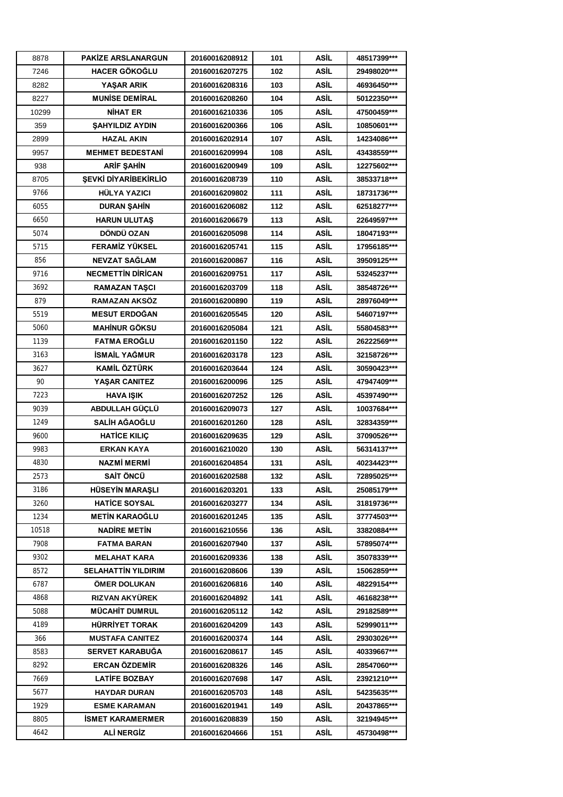| 8878  | PAKİZE ARSLANARGUN                 | 20160016208912 | 101 | ASİL        | 48517399***  |
|-------|------------------------------------|----------------|-----|-------------|--------------|
| 7246  | <b>HACER GÖKOĞLU</b>               | 20160016207275 | 102 | ASİL        | 29498020***  |
| 8282  | <b>YASAR ARIK</b>                  | 20160016208316 | 103 | ASİL        | 46936450***  |
| 8227  | <b>MUNISE DEMIRAL</b>              | 20160016208260 | 104 | ASİL        | 50122350***  |
| 10299 | <b>NIHAT ER</b>                    | 20160016210336 | 105 | ASİL        | 47500459***  |
| 359   | <b>ŞAHYILDIZ AYDIN</b>             | 20160016200366 | 106 | <b>ASİL</b> | 10850601***  |
| 2899  | <b>HAZAL AKIN</b>                  | 20160016202914 | 107 | ASİL        | 14234086***  |
| 9957  | <b>MEHMET BEDESTANİ</b>            | 20160016209994 | 108 | ASİL        | 43438559***  |
| 938   | <b>ARİF ŞAHİN</b>                  | 20160016200949 | 109 | <b>ASİL</b> | 12275602***  |
| 8705  | <b><i>SEVKİ DİYARİBEKİRLİO</i></b> | 20160016208739 | 110 | ASİL        | 38533718***  |
| 9766  | <b>HÜLYA YAZICI</b>                | 20160016209802 | 111 | ASİL        | 18731736***  |
| 6055  | <b>DURAN SAHIN</b>                 | 20160016206082 | 112 | ASİL        | 62518277***  |
| 6650  | <b>HARUN ULUTAS</b>                | 20160016206679 | 113 | ASİL        | 22649597***  |
| 5074  | DÖNDÜ OZAN                         | 20160016205098 | 114 | ASİL        | 18047193***  |
| 5715  | <b>FERAMİZ YÜKSEL</b>              | 20160016205741 | 115 | ASİL        | 17956185***  |
| 856   | NEVZAT SAĞLAM                      | 20160016200867 | 116 | ASİL        | 39509125***  |
| 9716  | <b>NECMETTIN DIRICAN</b>           | 20160016209751 | 117 | ASİL        | 53245237***  |
| 3692  | <b>RAMAZAN TASCI</b>               | 20160016203709 | 118 | ASİL        | 38548726***  |
| 879   | RAMAZAN AKSÖZ                      | 20160016200890 | 119 | ASİL        | 28976049***  |
| 5519  | <b>MESUT ERDOĞAN</b>               | 20160016205545 | 120 | ASİL        | 54607197***  |
| 5060  | <b>MAHİNUR GÖKSU</b>               | 20160016205084 | 121 | ASİL        | 55804583***  |
| 1139  | <b>FATMA EROGLU</b>                | 20160016201150 | 122 | ASİL        | 26222569***  |
| 3163  | <b>İSMAİL YAĞMUR</b>               | 20160016203178 | 123 | ASİL        | 32158726***  |
| 3627  | <b>KAMİL ÖZTÜRK</b>                | 20160016203644 | 124 | ASİL        | 30590423***  |
| 90    | YASAR CANITEZ                      | 20160016200096 | 125 | <b>ASİL</b> | 47947409***  |
| 7223  | <b>HAVA ISIK</b>                   | 20160016207252 | 126 | ASİL        | 45397490***  |
| 9039  | ABDULLAH GÜÇLÜ                     | 20160016209073 | 127 | ASİL        | 10037684***  |
| 1249  | <b>SALİH AĞAOĞLU</b>               | 20160016201260 | 128 | ASİL        | 32834359***  |
| 9600  | <b>HATICE KILIC</b>                | 20160016209635 | 129 | ASİL        | 37090526***  |
| 9983  | <b>ERKAN KAYA</b>                  | 20160016210020 | 130 | ASİL        | 56314137***  |
| 4830  | NAZMİ MERMİ                        | 20160016204854 | 131 | ASİL        | 40234423***  |
| 2573  | SAİT ÖNCÜ                          | 20160016202588 | 132 | ASİL        | 72895025***  |
| 3186  | <b>HÜSEYIN MARASLI</b>             | 20160016203201 | 133 | ASİL        | 25085179***  |
| 3260  | <b>HATICE SOYSAL</b>               | 20160016203277 | 134 | ASİL        | 31819736***  |
| 1234  | <b>METIN KARAOĞLU</b>              | 20160016201245 | 135 | ASİL        | 37774503***  |
| 10518 | <b>NADIRE METIN</b>                | 20160016210556 | 136 | ASİL        | 33820884***  |
| 7908  | <b>FATMA BARAN</b>                 | 20160016207940 | 137 | ASİL        | 57895074***  |
| 9302  | <b>MELAHAT KARA</b>                | 20160016209336 | 138 | ASİL        | 35078339***  |
| 8572  | <b>SELAHATTIN YILDIRIM</b>         | 20160016208606 | 139 | ASİL        | 15062859***  |
| 6787  | ÖMER DOLUKAN                       | 20160016206816 | 140 | ASİL        | 48229154***  |
| 4868  | RIZVAN AKYÜREK                     | 20160016204892 | 141 | ASİL        | 46168238***  |
| 5088  | <b>MÜCAHIT DUMRUL</b>              | 20160016205112 | 142 | ASİL        | 29182589***  |
| 4189  | HÜRRİYET TORAK                     | 20160016204209 | 143 | ASİL        | 52999011 *** |
| 366   | <b>MUSTAFA CANITEZ</b>             | 20160016200374 | 144 | ASİL        | 29303026***  |
| 8583  | SERVET KARABUĞA                    | 20160016208617 | 145 | ASİL        | 40339667***  |
| 8292  | <b>ERCAN ÖZDEMİR</b>               | 20160016208326 | 146 | ASİL        | 28547060***  |
| 7669  | <b>LATIFE BOZBAY</b>               | 20160016207698 | 147 | ASİL        | 23921210***  |
| 5677  | <b>HAYDAR DURAN</b>                | 20160016205703 | 148 | ASİL        | 54235635***  |
| 1929  | <b>ESME KARAMAN</b>                | 20160016201941 | 149 | ASİL        | 20437865***  |
| 8805  | <b>ISMET KARAMERMER</b>            | 20160016208839 | 150 | ASİL        | 32194945***  |
| 4642  | <b>ALİ NERGİZ</b>                  | 20160016204666 | 151 | <b>ASİL</b> | 45730498***  |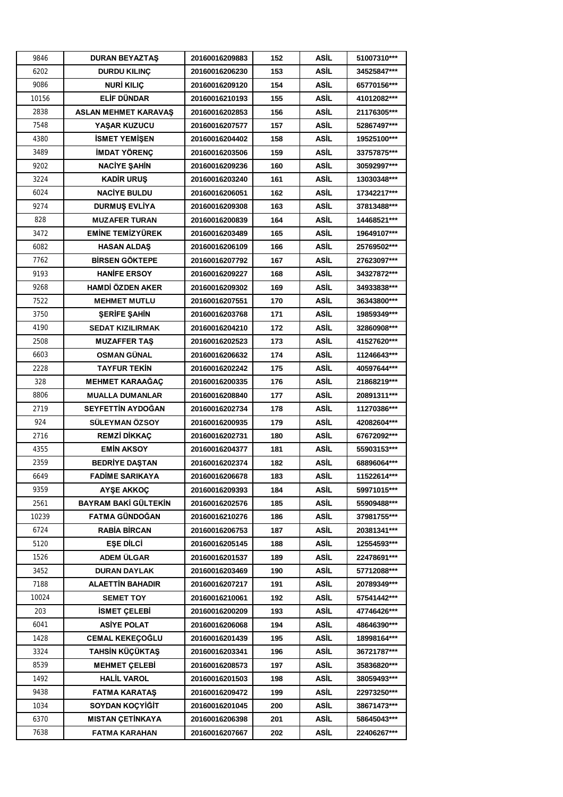| 9846  | <b>DURAN BEYAZTAŞ</b>       | 20160016209883 | 152 | ASİL        | 51007310*** |
|-------|-----------------------------|----------------|-----|-------------|-------------|
| 6202  | <b>DURDU KILINÇ</b>         | 20160016206230 | 153 | ASİL        | 34525847*** |
| 9086  | NURİ KILIÇ                  | 20160016209120 | 154 | ASİL        | 65770156*** |
| 10156 | <b>ELİF DÜNDAR</b>          | 20160016210193 | 155 | <b>ASİL</b> | 41012082*** |
| 2838  | <b>ASLAN MEHMET KARAVAS</b> | 20160016202853 | 156 | ASİL        | 21176305*** |
| 7548  | YAŞAR KUZUCU                | 20160016207577 | 157 | ASİL        | 52867497*** |
| 4380  | <b>ISMET YEMISEN</b>        | 20160016204402 | 158 | ASİL        | 19525100*** |
| 3489  | <b>IMDAT YÖRENC</b>         | 20160016203506 | 159 | ASİL        | 33757875*** |
| 9202  | <b>NACIYE ŞAHİN</b>         | 20160016209236 | 160 | <b>ASİL</b> | 30592997*** |
| 3224  | <b>KADİR URUS</b>           | 20160016203240 | 161 | ASİL        | 13030348*** |
| 6024  | <b>NACIYE BULDU</b>         | 20160016206051 | 162 | ASİL        | 17342217*** |
| 9274  | <b>DURMUS EVLIYA</b>        | 20160016209308 | 163 | ASİL        | 37813488*** |
| 828   | <b>MUZAFER TURAN</b>        | 20160016200839 | 164 | ASİL        | 14468521*** |
| 3472  | <b>EMINE TEMIZYÜREK</b>     | 20160016203489 | 165 | ASİL        | 19649107*** |
| 6082  | <b>HASAN ALDAS</b>          | 20160016206109 | 166 | ASİL        | 25769502*** |
| 7762  | <b>BİRSEN GÖKTEPE</b>       | 20160016207792 | 167 | ASİL        | 27623097*** |
| 9193  | <b>HANIFE ERSOY</b>         | 20160016209227 | 168 | ASİL        | 34327872*** |
| 9268  | <b>HAMDİ ÖZDEN AKER</b>     | 20160016209302 | 169 | ASİL        | 34933838*** |
| 7522  | <b>MEHMET MUTLU</b>         | 20160016207551 | 170 | ASİL        | 36343800*** |
| 3750  | <b>SERIFE SAHIN</b>         | 20160016203768 | 171 | ASİL        | 19859349*** |
| 4190  | <b>SEDAT KIZILIRMAK</b>     | 20160016204210 | 172 | <b>ASİL</b> | 32860908*** |
| 2508  | <b>MUZAFFER TAS</b>         | 20160016202523 | 173 | ASİL        | 41527620*** |
| 6603  | <b>OSMAN GÜNAL</b>          | 20160016206632 | 174 | ASİL        | 11246643*** |
| 2228  | <b>TAYFUR TEKIN</b>         | 20160016202242 | 175 | ASİL        | 40597644*** |
| 328   | <b>MEHMET KARAAĞAÇ</b>      | 20160016200335 | 176 | ASİL        | 21868219*** |
| 8806  | <b>MUALLA DUMANLAR</b>      | 20160016208840 | 177 | ASİL        | 20891311*** |
| 2719  | SEYFETTİN AYDOĞAN           | 20160016202734 | 178 | ASİL        | 11270386*** |
| 924   | SÜLEYMAN ÖZSOY              | 20160016200935 | 179 | ASİL        | 42082604*** |
| 2716  | <b>REMZİ DİKKAC</b>         | 20160016202731 | 180 | ASİL        | 67672092*** |
| 4355  | <b>EMIN AKSOY</b>           | 20160016204377 | 181 | ASİL        | 55903153*** |
| 2359  | <b>BEDRIYE DASTAN</b>       | 20160016202374 | 182 | ASİL        | 68896064*** |
| 6649  | <b>FADIME SARIKAYA</b>      | 20160016206678 | 183 | ASİL        | 11522614*** |
| 9359  | <b>AYSE AKKOC</b>           | 20160016209393 | 184 | ASİL        | 59971015*** |
| 2561  | BAYRAM BAKİ GÜLTEKİN        | 20160016202576 | 185 | ASİL        | 55909488*** |
| 10239 | FATMA GÜNDOĞAN              | 20160016210276 | 186 | ASİL        | 37981755*** |
| 6724  | <b>RABIA BIRCAN</b>         | 20160016206753 | 187 | ASİL        | 20381341*** |
| 5120  | <b>ESE DILCI</b>            | 20160016205145 | 188 | ASİL        | 12554593*** |
| 1526  | ADEM ÜLGAR                  | 20160016201537 | 189 | ASİL        | 22478691*** |
| 3452  | <b>DURAN DAYLAK</b>         | 20160016203469 | 190 | ASİL        | 57712088*** |
| 7188  | <b>ALAETTIN BAHADIR</b>     | 20160016207217 | 191 | ASİL        | 20789349*** |
| 10024 | <b>SEMET TOY</b>            | 20160016210061 | 192 | ASİL        | 57541442*** |
| 203   | <b>İSMET ÇELEBİ</b>         | 20160016200209 | 193 | ASİL        | 47746426*** |
| 6041  | <b>ASIYE POLAT</b>          | 20160016206068 | 194 | ASİL        | 48646390*** |
| 1428  | <b>CEMAL KEKEÇOĞLU</b>      | 20160016201439 | 195 | ASİL        | 18998164*** |
| 3324  | TAHSİN KÜÇÜKTAŞ             | 20160016203341 | 196 | ASİL        | 36721787*** |
| 8539  | <b>MEHMET ÇELEBİ</b>        | 20160016208573 | 197 | ASİL        | 35836820*** |
| 1492  | <b>HALIL VAROL</b>          | 20160016201503 | 198 | ASİL        | 38059493*** |
| 9438  | <b>FATMA KARATAŞ</b>        | 20160016209472 | 199 | ASİL        | 22973250*** |
| 1034  | SOYDAN KOÇYİĞİT             | 20160016201045 | 200 | ASİL        | 38671473*** |
| 6370  | <b>MISTAN CETINKAYA</b>     | 20160016206398 | 201 | ASİL        | 58645043*** |
| 7638  | <b>FATMA KARAHAN</b>        | 20160016207667 | 202 | ASİL        | 22406267*** |